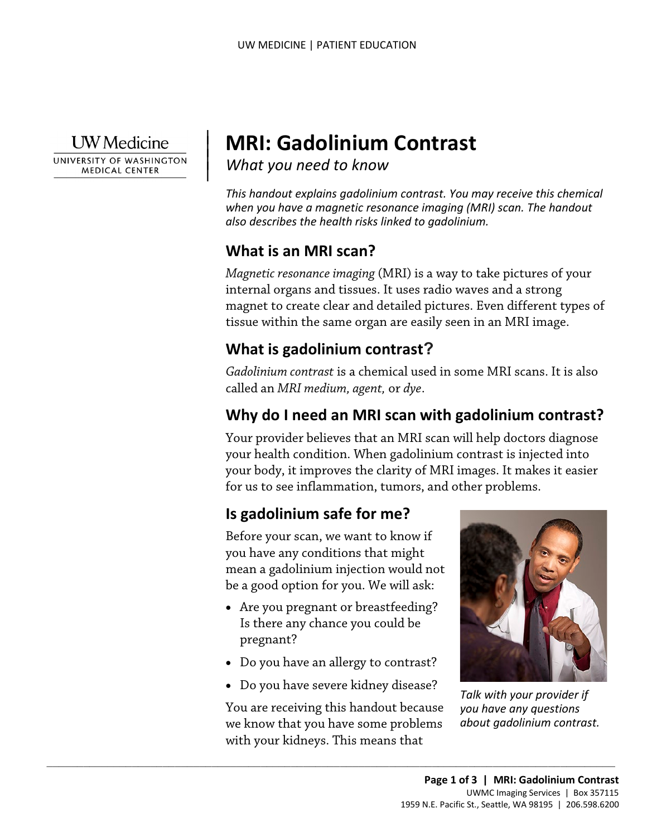**I** W Medicine

 $\overline{\phantom{a}}$ 

UNIVERSITY OF WASHINGTON **MEDICAL CENTER** 

# <sup>|</sup>**MRI: Gadolinium Contrast** | *What you need to know* <sup>|</sup>

*This handout explains gadolinium contrast. You may receive this chemical when you have a magnetic resonance imaging (MRI) scan. The handout also describes the health risks linked to gadolinium.* 

## **What is an MRI scan?**

 *Magnetic resonance imaging* (MRI) is a way to take pictures of your tissue within the same organ are easily seen in an MRI image. internal organs and tissues. It uses radio waves and a strong magnet to create clear and detailed pictures. Even different types of

# **What is gadolinium contrast?**

 called an *MRI medium, agent,* or *dye*. *Gadolinium contrast* is a chemical used in some MRI scans. It is also

## **Why do I need an MRI scan with gadolinium contrast?**

 your body, it improves the clarity of MRI images. It makes it easier for us to see inflammation, tumors, and other problems. Your provider believes that an MRI scan will help doctors diagnose your health condition. When gadolinium contrast is injected into

# **Is gadolinium safe for me?**

Before your scan, we want to know if you have any conditions that might mean a gadolinium injection would not be a good option for you. We will ask:

- Are you pregnant or breastfeeding? Is there any chance you could be pregnant?
- Do you have an allergy to contrast?
- Do you have severe kidney disease?

You are receiving this handout because we know that you have some problems with your kidneys. This means that

 $\_$  ,  $\_$  ,  $\_$  ,  $\_$  ,  $\_$  ,  $\_$  ,  $\_$  ,  $\_$  ,  $\_$  ,  $\_$  ,  $\_$  ,  $\_$  ,  $\_$  ,  $\_$  ,  $\_$  ,  $\_$  ,  $\_$  ,  $\_$  ,  $\_$  ,  $\_$  ,  $\_$  ,  $\_$  ,  $\_$  ,  $\_$  ,  $\_$  ,  $\_$  ,  $\_$  ,  $\_$  ,  $\_$  ,  $\_$  ,  $\_$  ,  $\_$  ,  $\_$  ,  $\_$  ,  $\_$  ,  $\_$  ,  $\_$  ,



*Talk with your provider if you have any questions about gadolinium contrast.*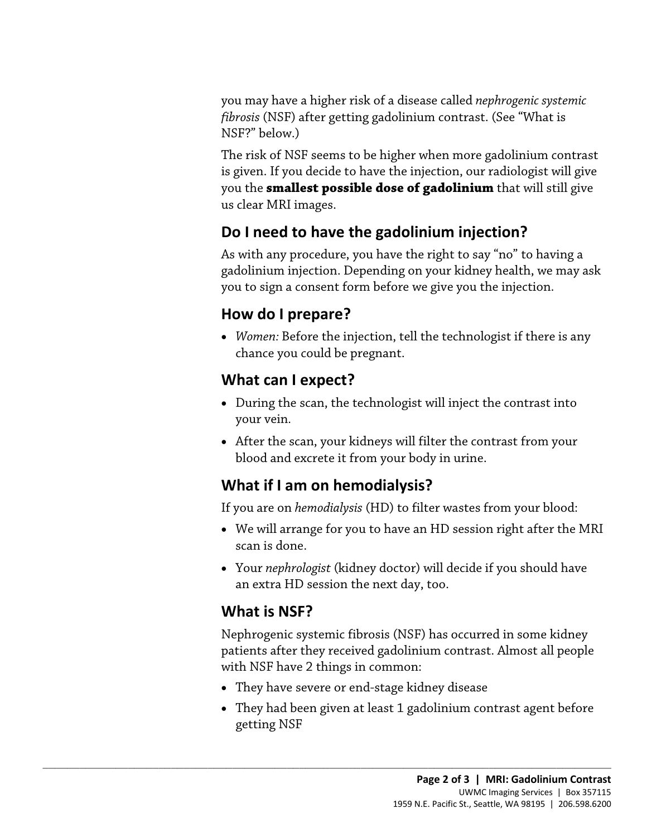*fibrosis* (NSF) after getting gadolinium contrast. (See "What is you may have a higher risk of a disease called *nephrogenic systemic*  NSF?" below.)

 The risk of NSF seems to be higher when more gadolinium contrast is given. If you decide to have the injection, our radiologist will give you the **smallest possible dose of gadolinium** that will still give us clear MRI images.

# **Do I need to have the gadolinium injection?**

As with any procedure, you have the right to say "no" to having a gadolinium injection. Depending on your kidney health, we may ask you to sign a consent form before we give you the injection.

# **How do I prepare?**

• *Women:* Before the injection, tell the technologist if there is any chance you could be pregnant.

## **What can I expect?**

- your vein*.*  • During the scan, the technologist will inject the contrast into
- After the scan, your kidneys will filter the contrast from your blood and excrete it from your body in urine.

## **What if I am on hemodialysis?**

If you are on *hemodialysis* (HD) to filter wastes from your blood:

- • We will arrange for you to have an HD session right after the MRI scan is done.
- Your *nephrologist* (kidney doctor) will decide if you should have an extra HD session the next day, too.

# **What is NSF?**

 Nephrogenic systemic fibrosis (NSF) has occurred in some kidney patients after they received gadolinium contrast. Almost all people with NSF have 2 things in common:

• They have severe or end-stage kidney disease

 $\_$  ,  $\_$  ,  $\_$  ,  $\_$  ,  $\_$  ,  $\_$  ,  $\_$  ,  $\_$  ,  $\_$  ,  $\_$  ,  $\_$  ,  $\_$  ,  $\_$  ,  $\_$  ,  $\_$  ,  $\_$  ,  $\_$  ,  $\_$  ,  $\_$  ,  $\_$  ,  $\_$  ,  $\_$  ,  $\_$  ,  $\_$  ,  $\_$  ,  $\_$  ,  $\_$  ,  $\_$  ,  $\_$  ,  $\_$  ,  $\_$  ,  $\_$  ,  $\_$  ,  $\_$  ,  $\_$  ,  $\_$  ,  $\_$  ,

• They had been given at least 1 gadolinium contrast agent before getting NSF